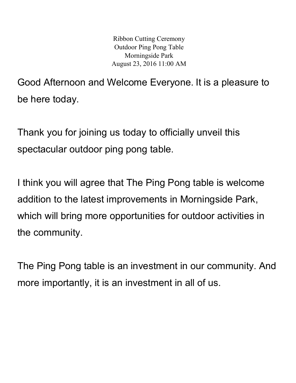Ribbon Cutting Ceremony Outdoor Ping Pong Table Morningside Park August 23, 2016 11:00 AM

Good Afternoon and Welcome Everyone. It is a pleasure to be here today.

Thank you for joining us today to officially unveil this spectacular outdoor ping pong table.

I think you will agree that The Ping Pong table is welcome addition to the latest improvements in Morningside Park, which will bring more opportunities for outdoor activities in the community.

The Ping Pong table is an investment in our community. And more importantly, it is an investment in all of us.